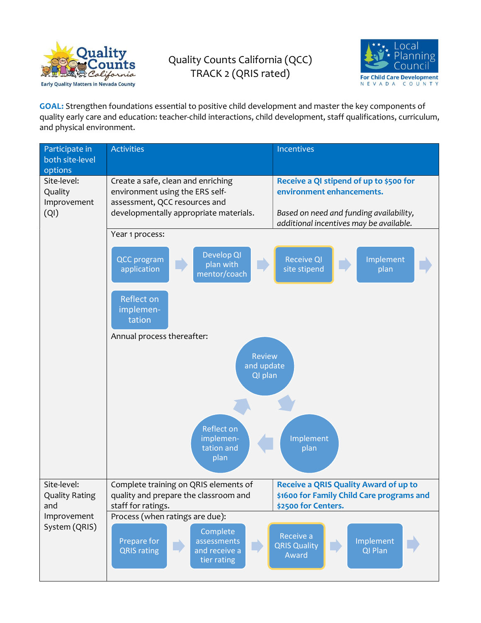

## Quality Counts California (QCC) TRACK 2 (QRIS rated)



GOAL: Strengthen foundations essential to positive child development and master the key components of quality early care and education: teacher-child interactions, child development, staff qualifications, curriculum, and physical environment.

| Participate in<br>both site-level<br>options                                | <b>Activities</b>                                                                                                                                | Incentives                                                                                                       |
|-----------------------------------------------------------------------------|--------------------------------------------------------------------------------------------------------------------------------------------------|------------------------------------------------------------------------------------------------------------------|
| Site-level:<br>Quality<br>Improvement<br>(QI)                               | Create a safe, clean and enriching<br>environment using the ERS self-<br>assessment, QCC resources and<br>developmentally appropriate materials. | Receive a QI stipend of up to \$500 for<br>environment enhancements.<br>Based on need and funding availability,  |
|                                                                             | Year 1 process:                                                                                                                                  | additional incentives may be available.                                                                          |
|                                                                             | Develop QI<br>QCC program<br>plan with<br>application<br>mentor/coach                                                                            | <b>Receive QI</b><br>Implement<br>site stipend<br>plan                                                           |
|                                                                             | Reflect on<br>implemen-<br>tation                                                                                                                |                                                                                                                  |
|                                                                             | Annual process thereafter:<br><b>Review</b><br>and update<br>QI plan                                                                             |                                                                                                                  |
|                                                                             | <b>Reflect on</b><br>implemen-<br>tation and<br>plan                                                                                             | Implement<br>plan                                                                                                |
| Site-level:<br><b>Quality Rating</b><br>and<br>Improvement<br>System (QRIS) | Complete training on QRIS elements of<br>quality and prepare the classroom and<br>staff for ratings.                                             | <b>Receive a QRIS Quality Award of up to</b><br>\$1600 for Family Child Care programs and<br>\$2500 for Centers. |
|                                                                             | Process (when ratings are due):<br>Complete<br>Prepare for<br>assessments<br><b>QRIS</b> rating<br>and receive a<br>tier rating                  | Receive a<br>Implement<br><b>QRIS Quality</b><br>QI Plan<br>Award                                                |